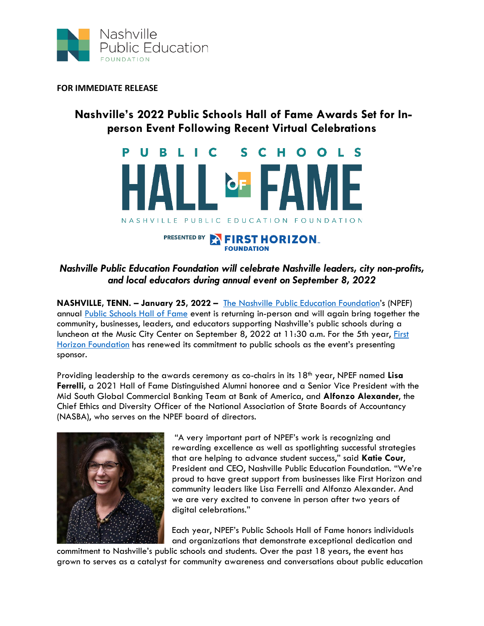

**FOR IMMEDIATE RELEASE**

## **Nashville's 2022 Public Schools Hall of Fame Awards Set for Inperson Event Following Recent Virtual Celebrations**



## *Nashville Public Education Foundation will celebrate Nashville leaders, city non-profits, and local educators during annual event on September 8, 2022*

**NASHVILLE, TENN. – January 25, 2022 –** [The Nashville Public Education Foundation](https://nashvillepef.org/)'s (NPEF) annual [Public Schools Hall of Fame](https://nashvillepef.org/hall-of-fame/) event is returning in-person and will again bring together the community, businesses, leaders, and educators supporting Nashville's public schools during a luncheon at the Music City Center on September 8, 2022 at 11:30 a.m. For the 5th year, First [Horizon Foundation](https://www.firsthorizonfoundation.com/) has renewed its commitment to public schools as the event's presenting sponsor.

Providing leadership to the awards ceremony as co-chairs in its 18th year, NPEF named **Lisa Ferrelli**, a 2021 Hall of Fame Distinguished Alumni honoree and a Senior Vice President with the Mid South Global Commercial Banking Team at Bank of America, and **Alfonzo Alexander**, the Chief Ethics and Diversity Officer of the National Association of State Boards of Accountancy (NASBA), who serves on the NPEF board of directors.



"A very important part of NPEF's work is recognizing and rewarding excellence as well as spotlighting successful strategies that are helping to advance student success," said **Katie Cour**, President and CEO, Nashville Public Education Foundation. "We're proud to have great support from businesses like First Horizon and community leaders like Lisa Ferrelli and Alfonzo Alexander. And we are very excited to convene in person after two years of digital celebrations."

Each year, NPEF's Public Schools Hall of Fame honors individuals and organizations that demonstrate exceptional dedication and

commitment to Nashville's public schools and students. Over the past 18 years, the event has grown to serves as a catalyst for community awareness and conversations about public education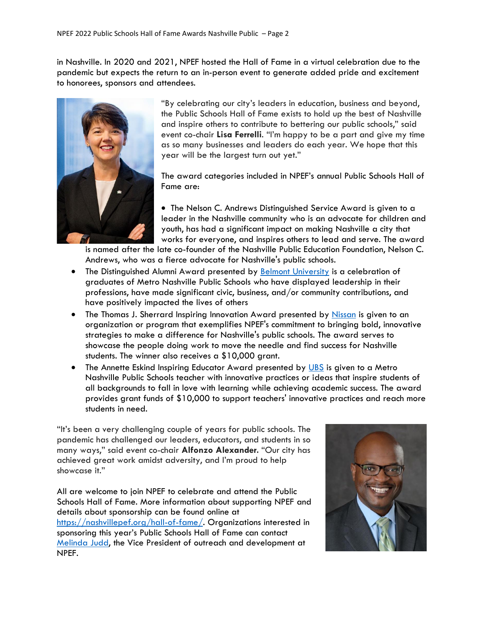in Nashville. In 2020 and 2021, NPEF hosted the Hall of Fame in a virtual celebration due to the pandemic but expects the return to an in-person event to generate added pride and excitement to honorees, sponsors and attendees.



"By celebrating our city's leaders in education, business and beyond, the Public Schools Hall of Fame exists to hold up the best of Nashville and inspire others to contribute to bettering our public schools," said event co-chair **Lisa Ferrelli**. "I'm happy to be a part and give my time as so many businesses and leaders do each year. We hope that this year will be the largest turn out yet."

The award categories included in NPEF's annual Public Schools Hall of Fame are:

• The Nelson C. Andrews Distinguished Service Award is given to a leader in the Nashville community who is an advocate for children and youth, has had a significant impact on making Nashville a city that works for everyone, and inspires others to lead and serve. The award

is named after the late co-founder of the Nashville Public Education Foundation, Nelson C. Andrews, who was a fierce advocate for Nashville's public schools.

- The Distinguished Alumni Award presented by [Belmont University](https://www.belmont.edu/) is a celebration of graduates of Metro Nashville Public Schools who have displayed leadership in their professions, have made significant civic, business, and/or community contributions, and have positively impacted the lives of others
- The Thomas J. Sherrard Inspiring Innovation Award presented by [Nissan](https://www.nissanusa.com/) is given to an organization or program that exemplifies NPEF's commitment to bringing bold, innovative strategies to make a difference for Nashville's public schools. The award serves to showcase the people doing work to move the needle and find success for Nashville students. The winner also receives a \$10,000 grant.
- The Annette Eskind Inspiring Educator Award presented by [UBS](https://www.ubs.com/us/en.html) is given to a Metro Nashville Public Schools teacher with innovative practices or ideas that inspire students of all backgrounds to fall in love with learning while achieving academic success. The award provides grant funds of \$10,000 to support teachers' innovative practices and reach more students in need.

"It's been a very challenging couple of years for public schools. The pandemic has challenged our leaders, educators, and students in so many ways," said event co-chair **Alfonzo Alexander***.* "Our city has achieved great work amidst adversity, and I'm proud to help showcase it."

All are welcome to join NPEF to celebrate and attend the Public Schools Hall of Fame. More information about supporting NPEF and details about sponsorship can be found online at [https://nashvillepef.org/hall-of-fame/.](https://nashvillepef.org/hall-of-fame/) Organizations interested in sponsoring this year's Public Schools Hall of Fame can contact [Melinda Judd,](mailto:melinda.judd@nashvillepef.org?subject=Hall%20of%20Fame%20Sponsorship%20Opportunities%20) the Vice President of outreach and development at NPEF.